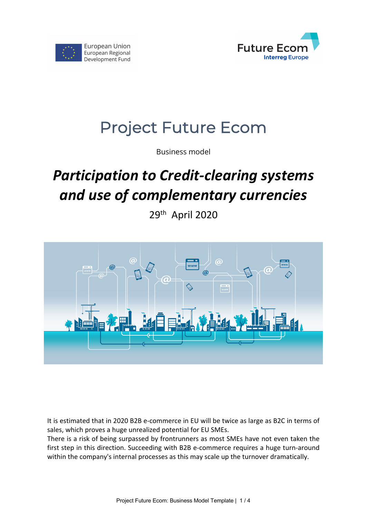



# Project Future Ecom

Business model

# *Participation to Credit-clearing systems and use of complementary currencies*

29th April 2020



It is estimated that in 2020 B2B e-commerce in EU will be twice as large as B2C in terms of sales, which proves a huge unrealized potential for EU SMEs.

There is a risk of being surpassed by frontrunners as most SMEs have not even taken the first step in this direction. Succeeding with B2B e-commerce requires a huge turn-around within the company's internal processes as this may scale up the turnover dramatically.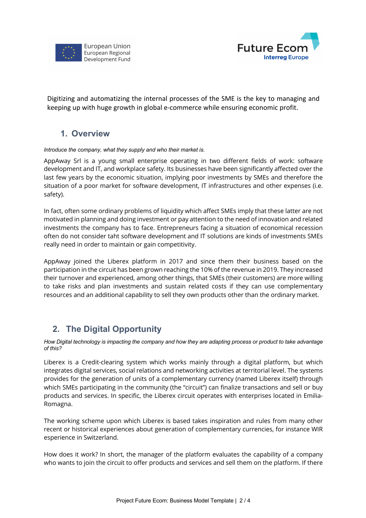



Digitizing and automatizing the internal processes of the SME is the key to managing and keeping up with huge growth in global e-commerce while ensuring economic profit.

## **1. Overview**

### *Introduce the company, what they supply and who their market is.*

AppAway Srl is a young small enterprise operating in two different fields of work: software development and IT, and workplace safety. Its businesses have been significantly affected over the last few years by the economic situation, implying poor investments by SMEs and therefore the situation of a poor market for software development, IT infrastructures and other expenses (i.e. safety).

In fact, often some ordinary problems of liquidity which affect SMEs imply that these latter are not motivated in planning and doing investment or pay attention to the need of innovation and related investments the company has to face. Entrepreneurs facing a situation of economical recession often do not consider taht software development and IT solutions are kinds of investments SMEs really need in order to maintain or gain competitivity.

AppAway joined the Liberex platform in 2017 and since them their business based on the participation in the circuit has been grown reaching the 10% of the revenue in 2019. They increased their turnover and experienced, among other things, that SMEs (their customers) are more willing to take risks and plan investments and sustain related costs if they can use complementary resources and an additional capability to sell they own products other than the ordinary market.

## **2. The Digital Opportunity**

*How Digital technology is impacting the company and how they are adapting process or product to take advantage of this?*

Liberex is a Credit-clearing system which works mainly through a digital platform, but which integrates digital services, social relations and networking activities at territorial level. The systems provides for the generation of units of a complementary currency (named Liberex itself) through which SMEs participating in the community (the "circuit") can finalize transactions and sell or buy products and services. In specific, the Liberex circuit operates with enterprises located in Emilia-Romagna.

The working scheme upon which Liberex is based takes inspiration and rules from many other recent or historical experiences about generation of complementary currencies, for instance WIR esperience in Switzerland.

How does it work? In short, the manager of the platform evaluates the capability of a company who wants to join the circuit to offer products and services and sell them on the platform. If there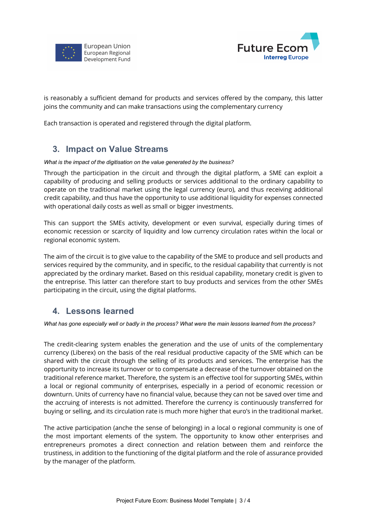



is reasonably a sufficient demand for products and services offered by the company, this latter joins the community and can make transactions using the complementary currency

Each transaction is operated and registered through the digital platform.

### **3. Impact on Value Streams**

#### *What is the impact of the digitisation on the value generated by the business?*

Through the participation in the circuit and through the digital platform, a SME can exploit a capability of producing and selling products or services additional to the ordinary capability to operate on the traditional market using the legal currency (euro), and thus receiving additional credit capability, and thus have the opportunity to use additional liquidity for expenses connected with operational daily costs as well as small or bigger investments.

This can support the SMEs activity, development or even survival, especially during times of economic recession or scarcity of liquidity and low currency circulation rates within the local or regional economic system.

The aim of the circuit is to give value to the capability of the SME to produce and sell products and services required by the community, and in specific, to the residual capability that currently is not appreciated by the ordinary market. Based on this residual capability, monetary credit is given to the entreprise. This latter can therefore start to buy products and services from the other SMEs participating in the circuit, using the digital platforms.

## **4. Lessons learned**

*What has gone especially well or badly in the process? What were the main lessons learned from the process?* 

The credit-clearing system enables the generation and the use of units of the complementary currency (Liberex) on the basis of the real residual productive capacity of the SME which can be shared with the circuit through the selling of its products and services. The enterprise has the opportunity to increase its turnover or to compensate a decrease of the turnover obtained on the traditional reference market. Therefore, the system is an effective tool for supporting SMEs, within a local or regional community of enterprises, especially in a period of economic recession or downturn. Units of currency have no financial value, because they can not be saved over time and the accruing of interests is not admitted. Therefore the currency is continuously transferred for buying or selling, and its circulation rate is much more higher that euro's in the traditional market.

The active participation (anche the sense of belonging) in a local o regional community is one of the most important elements of the system. The opportunity to know other enterprises and entrepreneurs promotes a direct connection and relation between them and reinforce the trustiness, in addition to the functioning of the digital platform and the role of assurance provided by the manager of the platform.